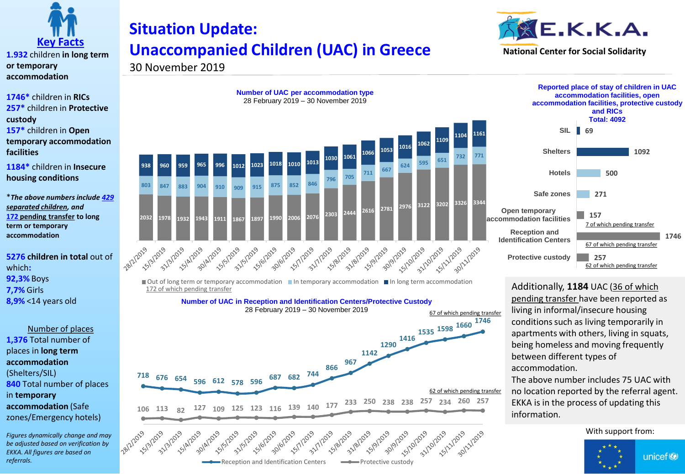

**1.932** children **in long term or temporary accommodation**

**1746\*** children in **RICs 257\*** children in **Protective custody 157\*** children in **Open temporary accommodation facilities**

**1184\*** children in **Insecure housing conditions**

\**The above numbers include 429 separated children, and*  **172 pending transfer to long term or temporary accommodation**

**5276 children in total** out of which**: 92,3%** Boys **7,7%** Girls **8,9%** <14 years old

Number of places **1,376** Total number of places in **long term accommodation**  (Shelters/SIL) **840** Total number of places in **temporary accommodation** (Safe zones/Emergency hotels)

*Figures dynamically change and may be adjusted based on verification by EKKA. All figures are based on referrals.* 

## **Situation Update: Unaccompanied Children (UAC) in Greece**



30 November 2019





 $\Box$  Out of long term or temporary accommodation  $\Box$  In temporary accommodation  $\Box$  In long term accommodation 172 of which pending transfer

**Number of UAC in Reception and Identification Centers/Protective Custody**





Additionally, **1184** UAC (36 of which pending transfer have been reported as living in informal/insecure housing conditions such as living temporarily in apartments with others, living in squats, being homeless and moving frequently between different types of accommodation.

The above number includes 75 UAC with no location reported by the referral agent. EKKA is in the process of updating this information.

## With support from:

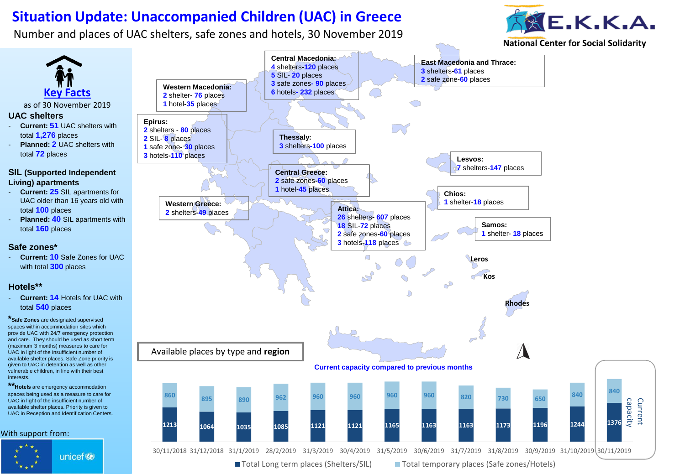## **Situation Update: Unaccompanied Children (UAC) in Greece**

Number and places of UAC shelters, safe zones and hotels, 30 November 2019

interests.



**National Center for Social Solidarity**



■ Total Long term places (Shelters/SIL) ■ Total temporary places (Safe zones/Hotels)